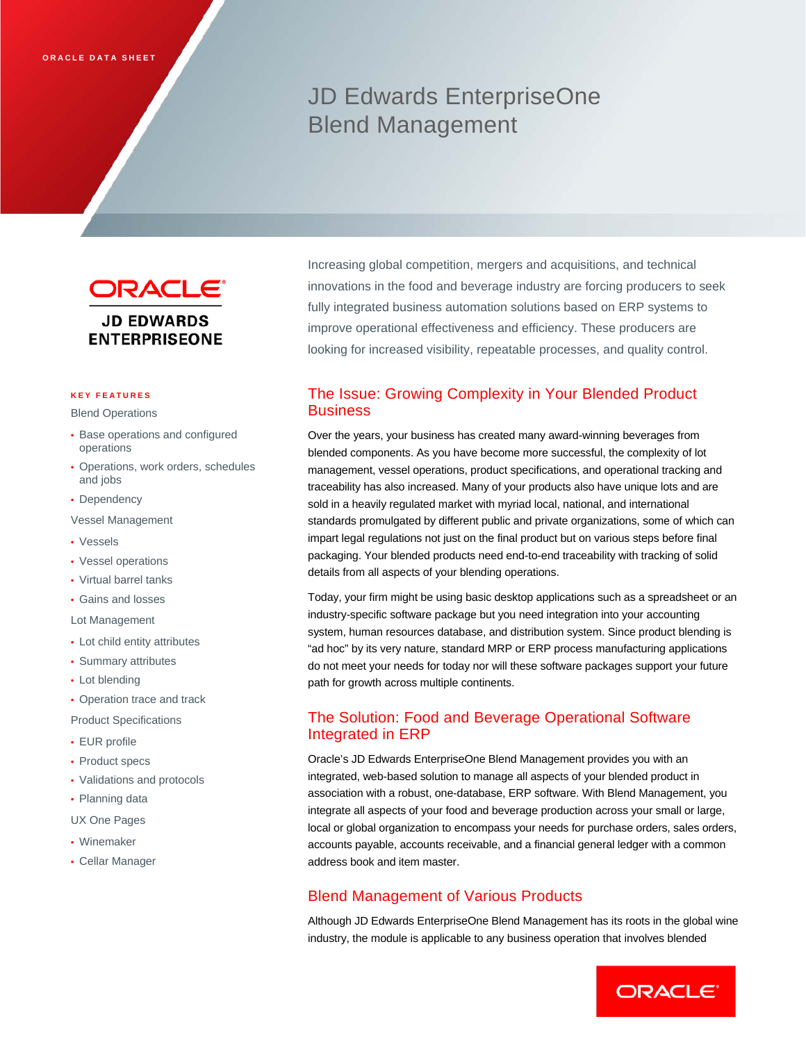# JD Edwards EnterpriseOne Blend Management

ORACLE<sup>®</sup> **JD EDWARDS ENTERPRISEONE** 

#### **KEY FEATURES**

Blend Operations

- Base operations and configured operations
- Operations, work orders, schedules and jobs
- Dependency
- Vessel Management
- Vessels
- Vessel operations
- Virtual barrel tanks
- Gains and losses

Lot Management

- Lot child entity attributes
- Summary attributes
- Lot blending
- Operation trace and track

Product Specifications

- EUR profile
- Product specs
- Validations and protocols
- Planning data
- UX One Pages
- Winemaker
- Cellar Manager

Increasing global competition, mergers and acquisitions, and technical innovations in the food and beverage industry are forcing producers to seek fully integrated business automation solutions based on ERP systems to improve operational effectiveness and efficiency. These producers are looking for increased visibility, repeatable processes, and quality control.

# The Issue: Growing Complexity in Your Blended Product **Business**

Over the years, your business has created many award-winning beverages from blended components. As you have become more successful, the complexity of lot management, vessel operations, product specifications, and operational tracking and traceability has also increased. Many of your products also have unique lots and are sold in a heavily regulated market with myriad local, national, and international standards promulgated by different public and private organizations, some of which can impart legal regulations not just on the final product but on various steps before final packaging. Your blended products need end-to-end traceability with tracking of solid details from all aspects of your blending operations.

Today, your firm might be using basic desktop applications such as a spreadsheet or an industry-specific software package but you need integration into your accounting system, human resources database, and distribution system. Since product blending is "ad hoc" by its very nature, standard MRP or ERP process manufacturing applications do not meet your needs for today nor will these software packages support your future path for growth across multiple continents.

# The Solution: Food and Beverage Operational Software Integrated in ERP

Oracle's JD Edwards EnterpriseOne Blend Management provides you with an integrated, web-based solution to manage all aspects of your blended product in association with a robust, one-database, ERP software. With Blend Management, you integrate all aspects of your food and beverage production across your small or large, local or global organization to encompass your needs for purchase orders, sales orders, accounts payable, accounts receivable, and a financial general ledger with a common address book and item master.

## Blend Management of Various Products

Although JD Edwards EnterpriseOne Blend Management has its roots in the global wine industry, the module is applicable to any business operation that involves blended

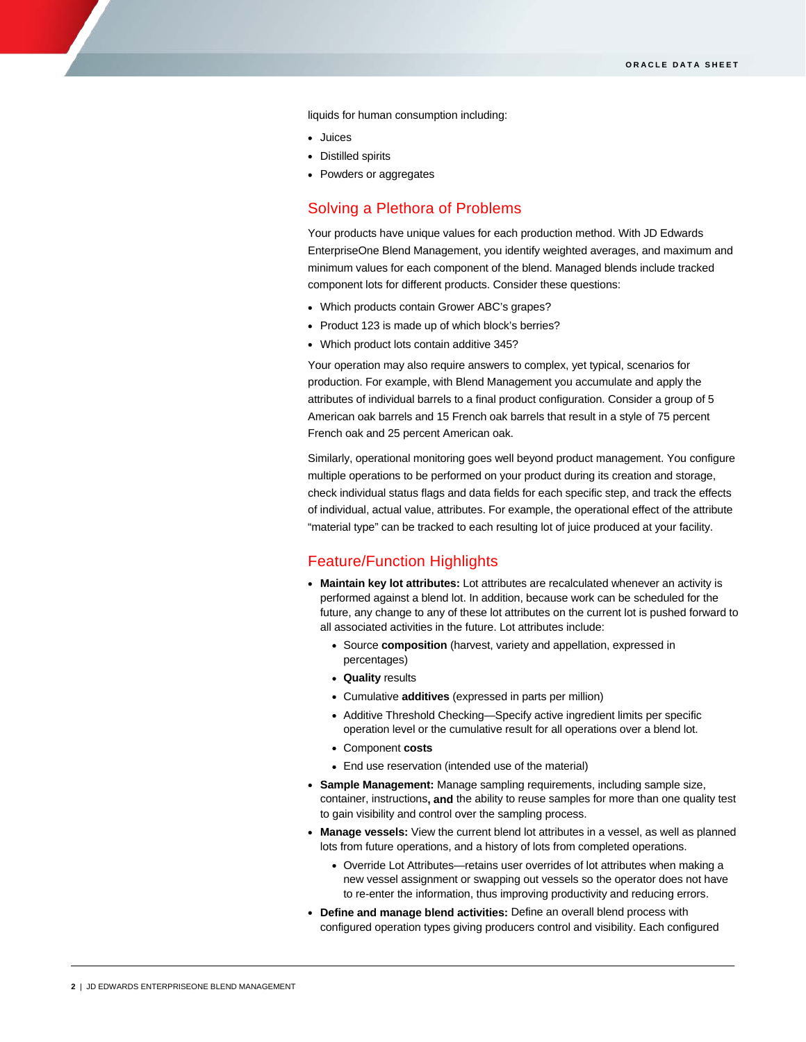liquids for human consumption including:

• Juices

I

- Distilled spirits
- Powders or aggregates

### Solving a Plethora of Problems

Your products have unique values for each production method. With JD Edwards EnterpriseOne Blend Management, you identify weighted averages, and maximum and minimum values for each component of the blend. Managed blends include tracked component lots for different products. Consider these questions:

- Which products contain Grower ABC's grapes?
- Product 123 is made up of which block's berries?
- Which product lots contain additive 345?

Your operation may also require answers to complex, yet typical, scenarios for production. For example, with Blend Management you accumulate and apply the attributes of individual barrels to a final product configuration. Consider a group of 5 American oak barrels and 15 French oak barrels that result in a style of 75 percent French oak and 25 percent American oak.

Similarly, operational monitoring goes well beyond product management. You configure multiple operations to be performed on your product during its creation and storage, check individual status flags and data fields for each specific step, and track the effects of individual, actual value, attributes. For example, the operational effect of the attribute "material type" can be tracked to each resulting lot of juice produced at your facility.

#### Feature/Function Highlights

- **Maintain key lot attributes:** Lot attributes are recalculated whenever an activity is performed against a blend lot. In addition, because work can be scheduled for the future, any change to any of these lot attributes on the current lot is pushed forward to all associated activities in the future. Lot attributes include:
	- Source **composition** (harvest, variety and appellation, expressed in percentages)
	- **Quality** results
	- Cumulative **additives** (expressed in parts per million)
	- Additive Threshold Checking—Specify active ingredient limits per specific operation level or the cumulative result for all operations over a blend lot.
	- Component **costs**
	- End use reservation (intended use of the material)
- **Sample Management:** Manage sampling requirements, including sample size, container, instructions**, and** the ability to reuse samples for more than one quality test to gain visibility and control over the sampling process.
- **Manage vessels:** View the current blend lot attributes in a vessel, as well as planned lots from future operations, and a history of lots from completed operations.
	- Override Lot Attributes—retains user overrides of lot attributes when making a new vessel assignment or swapping out vessels so the operator does not have to re-enter the information, thus improving productivity and reducing errors.
- **Define and manage blend activities:** Define an overall blend process with configured operation types giving producers control and visibility. Each configured